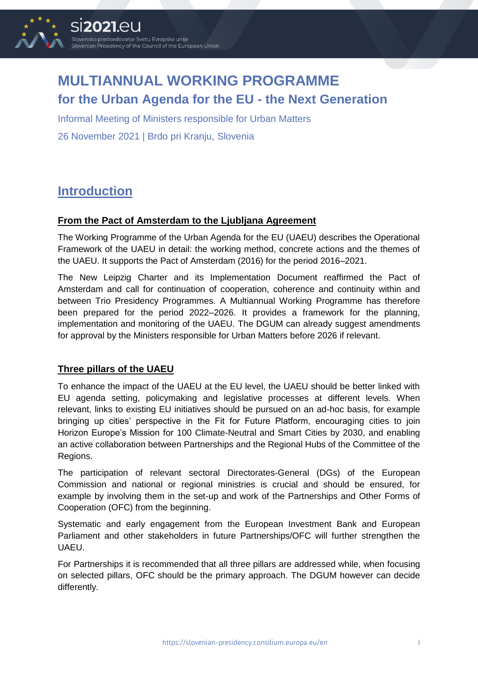

# **MULTIANNUAL WORKING PROGRAMME for the Urban Agenda for the EU - the Next Generation**

Informal Meeting of Ministers responsible for Urban Matters 26 November 2021 | Brdo pri Kranju, Slovenia

# **Introduction**

## **From the Pact of Amsterdam to the Ljubljana Agreement**

The Working Programme of the Urban Agenda for the EU (UAEU) describes the Operational Framework of the UAEU in detail: the working method, concrete actions and the themes of the UAEU. It supports the Pact of Amsterdam (2016) for the period 2016–2021.

The New Leipzig Charter and its Implementation Document reaffirmed the Pact of Amsterdam and call for continuation of cooperation, coherence and continuity within and between Trio Presidency Programmes. A Multiannual Working Programme has therefore been prepared for the period 2022–2026. It provides a framework for the planning, implementation and monitoring of the UAEU. The DGUM can already suggest amendments for approval by the Ministers responsible for Urban Matters before 2026 if relevant.

## **Three pillars of the UAEU**

To enhance the impact of the UAEU at the EU level, the UAEU should be better linked with EU agenda setting, policymaking and legislative processes at different levels. When relevant, links to existing EU initiatives should be pursued on an ad-hoc basis, for example bringing up cities' perspective in the Fit for Future Platform, encouraging cities to join Horizon Europe's Mission for [100 Climate-Neutral and Smart Cities by 2030,](https://ec.europa.eu/info/research-and-innovation/funding/funding-opportunities/funding-programmes-and-open-calls/horizon-europe/missions-horizon-europe/climate-neutral-and-smart-cities_en) and enabling an active collaboration between Partnerships and the Regional Hubs of the Committee of the Regions.

The participation of relevant sectoral Directorates-General (DGs) of the European Commission and national or regional ministries is crucial and should be ensured, for example by involving them in the set-up and work of the Partnerships and Other Forms of Cooperation (OFC) from the beginning.

Systematic and early engagement from the European Investment Bank and European Parliament and other stakeholders in future Partnerships/OFC will further strengthen the UAEU.

For Partnerships it is recommended that all three pillars are addressed while, when focusing on selected pillars, OFC should be the primary approach. The DGUM however can decide differently.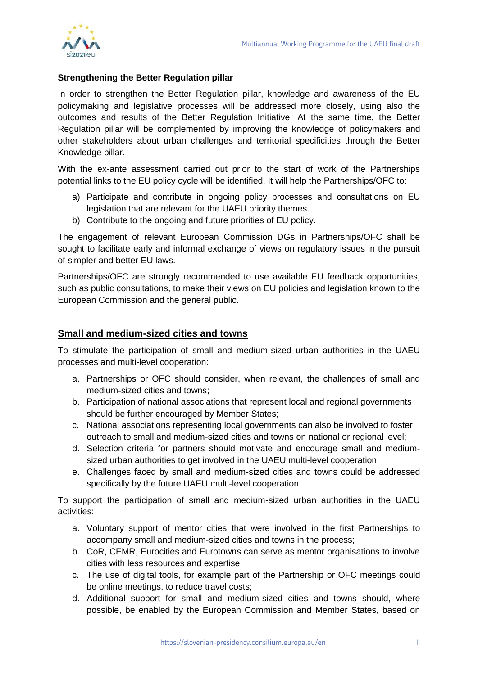

### **Strengthening the Better Regulation pillar**

In order to strengthen the Better Regulation pillar, knowledge and awareness of the EU policymaking and legislative processes will be addressed more closely, using also the outcomes and results of the Better Regulation Initiative. At the same time, the Better Regulation pillar will be complemented by improving the knowledge of policymakers and other stakeholders about urban challenges and territorial specificities through the Better Knowledge pillar.

With the ex-ante assessment carried out prior to the start of work of the Partnerships potential links to the EU policy cycle will be identified. It will help the Partnerships/OFC to:

- a) Participate and contribute in ongoing policy processes and consultations on EU legislation that are relevant for the UAEU priority themes.
- b) Contribute to the ongoing and future priorities of EU policy.

The engagement of relevant European Commission DGs in Partnerships/OFC shall be sought to facilitate early and informal exchange of views on regulatory issues in the pursuit of simpler and better EU laws.

Partnerships/OFC are strongly recommended to use available EU feedback opportunities, such as public consultations, to make their views on EU policies and legislation known to the European Commission and the general public.

## **Small and medium-sized cities and towns**

To stimulate the participation of small and medium-sized urban authorities in the UAEU processes and multi-level cooperation:

- a. Partnerships or OFC should consider, when relevant, the challenges of small and medium-sized cities and towns;
- b. Participation of national associations that represent local and regional governments should be further encouraged by Member States;
- c. National associations representing local governments can also be involved to foster outreach to small and medium-sized cities and towns on national or regional level;
- d. Selection criteria for partners should motivate and encourage small and mediumsized urban authorities to get involved in the UAEU multi-level cooperation;
- e. Challenges faced by small and medium-sized cities and towns could be addressed specifically by the future UAEU multi-level cooperation.

To support the participation of small and medium-sized urban authorities in the UAEU activities:

- a. Voluntary support of mentor cities that were involved in the first Partnerships to accompany small and medium-sized cities and towns in the process;
- b. CoR, CEMR, Eurocities and Eurotowns can serve as mentor organisations to involve cities with less resources and expertise;
- c. The use of digital tools, for example part of the Partnership or OFC meetings could be online meetings, to reduce travel costs;
- d. Additional support for small and medium-sized cities and towns should, where possible, be enabled by the European Commission and Member States, based on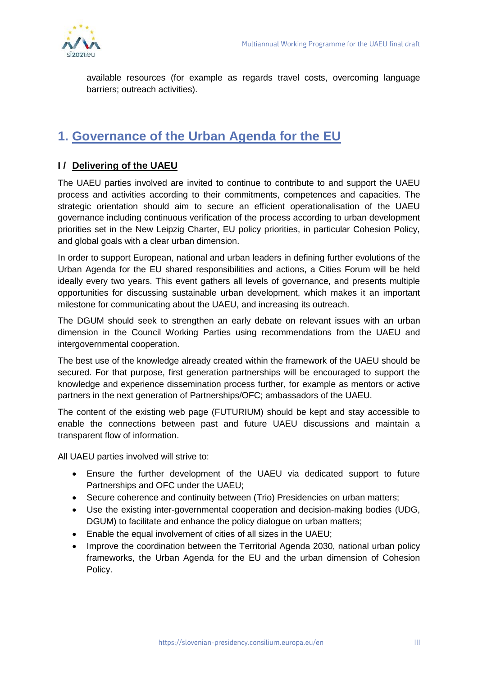

available resources (for example as regards travel costs, overcoming language barriers; outreach activities).

# **1. Governance of the Urban Agenda for the EU**

## **I / Delivering of the UAEU**

The UAEU parties involved are invited to continue to contribute to and support the UAEU process and activities according to their commitments, competences and capacities. The strategic orientation should aim to secure an efficient operationalisation of the UAEU governance including continuous verification of the process according to urban development priorities set in the New Leipzig Charter, EU policy priorities, in particular Cohesion Policy, and global goals with a clear urban dimension.

In order to support European, national and urban leaders in defining further evolutions of the Urban Agenda for the EU shared responsibilities and actions, a Cities Forum will be held ideally every two years. This event gathers all levels of governance, and presents multiple opportunities for discussing sustainable urban development, which makes it an important milestone for communicating about the UAEU, and increasing its outreach.

The DGUM should seek to strengthen an early debate on relevant issues with an urban dimension in the Council Working Parties using recommendations from the UAEU and intergovernmental cooperation.

The best use of the knowledge already created within the framework of the UAEU should be secured. For that purpose, first generation partnerships will be encouraged to support the knowledge and experience dissemination process further, for example as mentors or active partners in the next generation of Partnerships/OFC; ambassadors of the UAEU.

The content of the existing web page (FUTURIUM) should be kept and stay accessible to enable the connections between past and future UAEU discussions and maintain a transparent flow of information.

All UAEU parties involved will strive to:

- Ensure the further development of the UAEU via dedicated support to future Partnerships and OFC under the UAEU;
- Secure coherence and continuity between (Trio) Presidencies on urban matters;
- Use the existing inter-governmental cooperation and decision-making bodies (UDG, DGUM) to facilitate and enhance the policy dialogue on urban matters;
- Enable the equal involvement of cities of all sizes in the UAEU;
- Improve the coordination between the Territorial Agenda 2030, national urban policy frameworks, the Urban Agenda for the EU and the urban dimension of Cohesion Policy.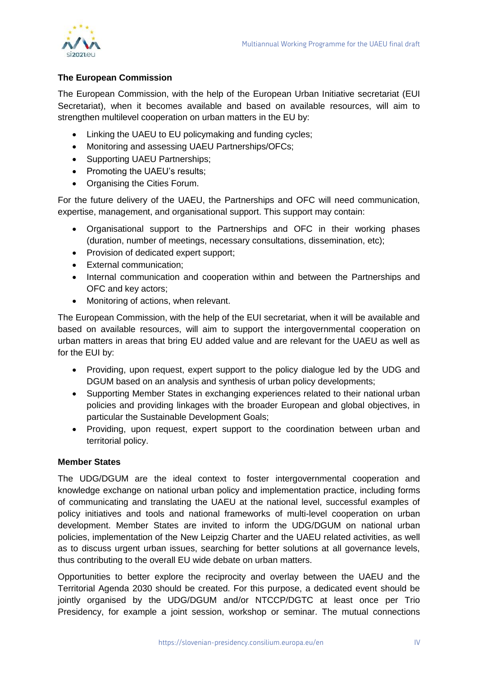

## **The European Commission**

The European Commission, with the help of the European Urban Initiative secretariat (EUI Secretariat), when it becomes available and based on available resources, will aim to strengthen multilevel cooperation on urban matters in the EU by:

- Linking the UAEU to EU policymaking and funding cycles;
- Monitoring and assessing UAEU Partnerships/OFCs;
- Supporting UAEU Partnerships;
- Promoting the UAEU's results;
- Organising the Cities Forum.

For the future delivery of the UAEU, the Partnerships and OFC will need communication, expertise, management, and organisational support. This support may contain:

- Organisational support to the Partnerships and OFC in their working phases (duration, number of meetings, necessary consultations, dissemination, etc);
- Provision of dedicated expert support;
- External communication;
- Internal communication and cooperation within and between the Partnerships and OFC and key actors;
- Monitoring of actions, when relevant.

The European Commission, with the help of the EUI secretariat, when it will be available and based on available resources, will aim to support the intergovernmental cooperation on urban matters in areas that bring EU added value and are relevant for the UAEU as well as for the EUI by:

- Providing, upon request, expert support to the policy dialogue led by the UDG and DGUM based on an analysis and synthesis of urban policy developments;
- Supporting Member States in exchanging experiences related to their national urban policies and providing linkages with the broader European and global objectives, in particular the Sustainable Development Goals;
- Providing, upon request, expert support to the coordination between urban and territorial policy.

#### **Member States**

The UDG/DGUM are the ideal context to foster intergovernmental cooperation and knowledge exchange on national urban policy and implementation practice, including forms of communicating and translating the UAEU at the national level, successful examples of policy initiatives and tools and national frameworks of multi-level cooperation on urban development. Member States are invited to inform the UDG/DGUM on national urban policies, implementation of the New Leipzig Charter and the UAEU related activities, as well as to discuss urgent urban issues, searching for better solutions at all governance levels, thus contributing to the overall EU wide debate on urban matters.

Opportunities to better explore the reciprocity and overlay between the UAEU and the Territorial Agenda 2030 should be created. For this purpose, a dedicated event should be jointly organised by the UDG/DGUM and/or NTCCP/DGTC at least once per Trio Presidency, for example a joint session, workshop or seminar. The mutual connections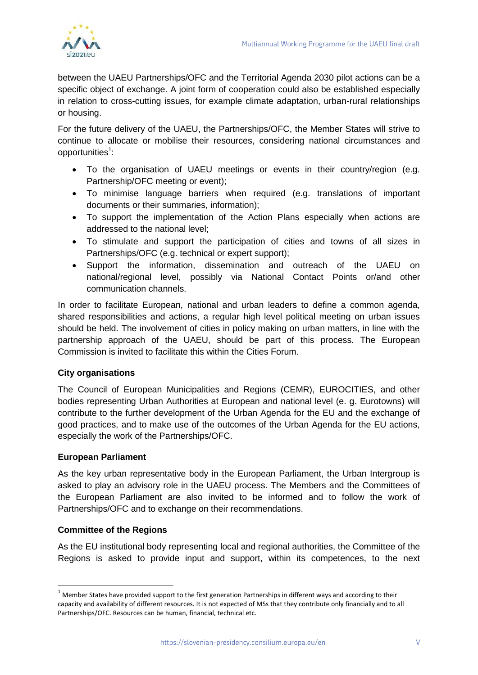

between the UAEU Partnerships/OFC and the Territorial Agenda 2030 pilot actions can be a specific object of exchange. A joint form of cooperation could also be established especially in relation to cross-cutting issues, for example climate adaptation, urban-rural relationships or housing.

For the future delivery of the UAEU, the Partnerships/OFC, the Member States will strive to continue to allocate or mobilise their resources, considering national circumstances and opportunities<sup>1</sup>:

- To the organisation of UAEU meetings or events in their country/region (e.g. Partnership/OFC meeting or event);
- To minimise language barriers when required (e.g. translations of important documents or their summaries, information);
- To support the implementation of the Action Plans especially when actions are addressed to the national level;
- To stimulate and support the participation of cities and towns of all sizes in Partnerships/OFC (e.g. technical or expert support);
- Support the information, dissemination and outreach of the UAEU on national/regional level, possibly via National Contact Points or/and other communication channels.

In order to facilitate European, national and urban leaders to define a common agenda, shared responsibilities and actions, a regular high level political meeting on urban issues should be held. The involvement of cities in policy making on urban matters, in line with the partnership approach of the UAEU, should be part of this process. The European Commission is invited to facilitate this within the Cities Forum.

## **City organisations**

The Council of European Municipalities and Regions (CEMR), EUROCITIES, and other bodies representing Urban Authorities at European and national level (e. g. Eurotowns) will contribute to the further development of the Urban Agenda for the EU and the exchange of good practices, and to make use of the outcomes of the Urban Agenda for the EU actions, especially the work of the Partnerships/OFC.

#### **European Parliament**

As the key urban representative body in the European Parliament, the Urban Intergroup is asked to play an advisory role in the UAEU process. The Members and the Committees of the European Parliament are also invited to be informed and to follow the work of Partnerships/OFC and to exchange on their recommendations.

## **Committee of the Regions**

-

As the EU institutional body representing local and regional authorities, the Committee of the Regions is asked to provide input and support, within its competences, to the next

 $1$  Member States have provided support to the first generation Partnerships in different ways and according to their capacity and availability of different resources. It is not expected of MSs that they contribute only financially and to all Partnerships/OFC. Resources can be human, financial, technical etc.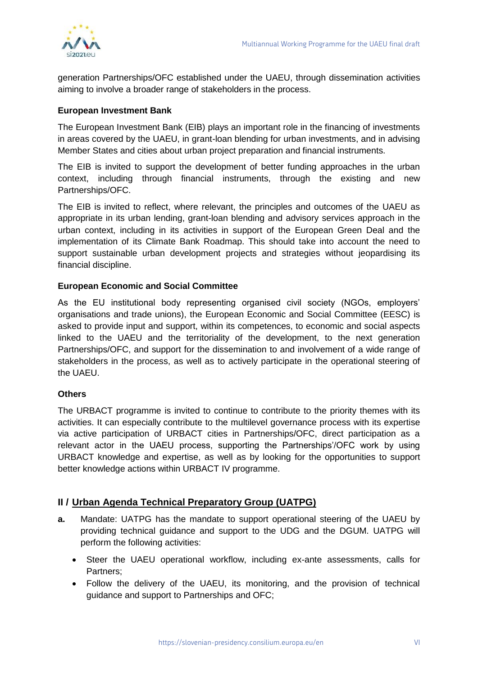generation Partnerships/OFC established under the UAEU, through dissemination activities aiming to involve a broader range of stakeholders in the process.

### **European Investment Bank**

The European Investment Bank (EIB) plays an important role in the financing of investments in areas covered by the UAEU, in grant-loan blending for urban investments, and in advising Member States and cities about urban project preparation and financial instruments.

The EIB is invited to support the development of better funding approaches in the urban context, including through financial instruments, through the existing and new Partnerships/OFC.

The EIB is invited to reflect, where relevant, the principles and outcomes of the UAEU as appropriate in its urban lending, grant-loan blending and advisory services approach in the urban context, including in its activities in support of the European Green Deal and the implementation of its Climate Bank Roadmap. This should take into account the need to support sustainable urban development projects and strategies without jeopardising its financial discipline.

### **European Economic and Social Committee**

As the EU institutional body representing organised civil society (NGOs, employers' organisations and trade unions), the European Economic and Social Committee (EESC) is asked to provide input and support, within its competences, to economic and social aspects linked to the UAEU and the territoriality of the development, to the next generation Partnerships/OFC, and support for the dissemination to and involvement of a wide range of stakeholders in the process, as well as to actively participate in the operational steering of the UAEU.

#### **Others**

The URBACT programme is invited to continue to contribute to the priority themes with its activities. It can especially contribute to the multilevel governance process with its expertise via active participation of URBACT cities in Partnerships/OFC, direct participation as a relevant actor in the UAEU process, supporting the Partnerships'/OFC work by using URBACT knowledge and expertise, as well as by looking for the opportunities to support better knowledge actions within URBACT IV programme.

## **II / Urban Agenda Technical Preparatory Group (UATPG)**

- **a.** Mandate: UATPG has the mandate to support operational steering of the UAEU by providing technical guidance and support to the UDG and the DGUM. UATPG will perform the following activities:
	- Steer the UAEU operational workflow, including ex-ante assessments, calls for Partners;
	- Follow the delivery of the UAEU, its monitoring, and the provision of technical guidance and support to Partnerships and OFC;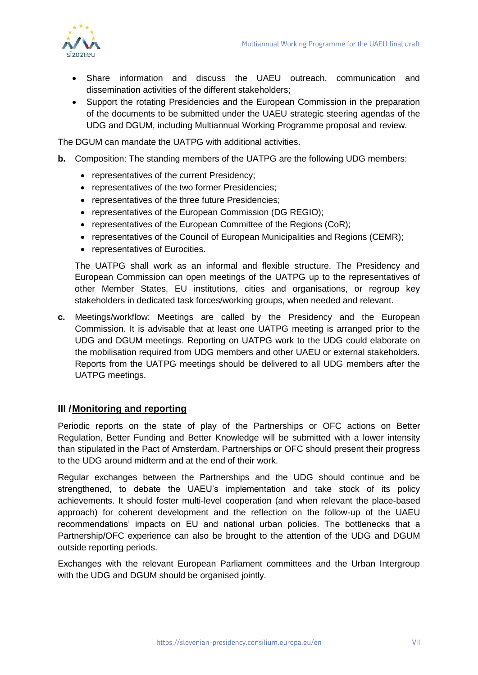

- Share information and discuss the UAEU outreach, communication and dissemination activities of the different stakeholders;
- Support the rotating Presidencies and the European Commission in the preparation of the documents to be submitted under the UAEU strategic steering agendas of the UDG and DGUM, including Multiannual Working Programme proposal and review.

The DGUM can mandate the UATPG with additional activities.

- **b.** Composition: The standing members of the UATPG are the following UDG members:
	- representatives of the current Presidency;
	- representatives of the two former Presidencies;
	- representatives of the three future Presidencies;
	- representatives of the European Commission (DG REGIO);
	- representatives of the European Committee of the Regions (CoR):
	- representatives of the Council of European Municipalities and Regions (CEMR);
	- representatives of Eurocities.

The UATPG shall work as an informal and flexible structure. The Presidency and European Commission can open meetings of the UATPG up to the representatives of other Member States, EU institutions, cities and organisations, or regroup key stakeholders in dedicated task forces/working groups, when needed and relevant.

**c.** Meetings/workflow: Meetings are called by the Presidency and the European Commission. It is advisable that at least one UATPG meeting is arranged prior to the UDG and DGUM meetings. Reporting on UATPG work to the UDG could elaborate on the mobilisation required from UDG members and other UAEU or external stakeholders. Reports from the UATPG meetings should be delivered to all UDG members after the UATPG meetings.

#### **III /Monitoring and reporting**

Periodic reports on the state of play of the Partnerships or OFC actions on Better Regulation, Better Funding and Better Knowledge will be submitted with a lower intensity than stipulated in the Pact of Amsterdam. Partnerships or OFC should present their progress to the UDG around midterm and at the end of their work.

Regular exchanges between the Partnerships and the UDG should continue and be strengthened, to debate the UAEU's implementation and take stock of its policy achievements. It should foster multi-level cooperation (and when relevant the place-based approach) for coherent development and the reflection on the follow-up of the UAEU recommendations' impacts on EU and national urban policies. The bottlenecks that a Partnership/OFC experience can also be brought to the attention of the UDG and DGUM outside reporting periods.

Exchanges with the relevant European Parliament committees and the Urban Intergroup with the UDG and DGUM should be organised jointly.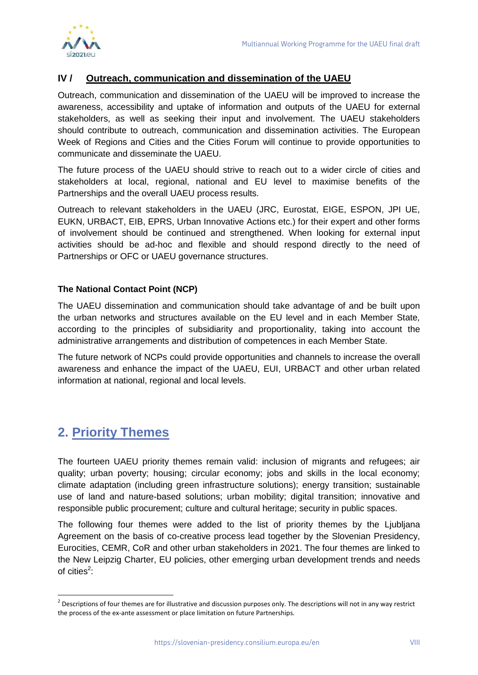

## **IV / Outreach, communication and dissemination of the UAEU**

Outreach, communication and dissemination of the UAEU will be improved to increase the awareness, accessibility and uptake of information and outputs of the UAEU for external stakeholders, as well as seeking their input and involvement. The UAEU stakeholders should contribute to outreach, communication and dissemination activities. The European Week of Regions and Cities and the Cities Forum will continue to provide opportunities to communicate and disseminate the UAEU.

The future process of the UAEU should strive to reach out to a wider circle of cities and stakeholders at local, regional, national and EU level to maximise benefits of the Partnerships and the overall UAEU process results.

Outreach to relevant stakeholders in the UAEU (JRC, Eurostat, EIGE, ESPON, JPI UE, EUKN, URBACT, EIB, EPRS, Urban Innovative Actions etc.) for their expert and other forms of involvement should be continued and strengthened. When looking for external input activities should be ad-hoc and flexible and should respond directly to the need of Partnerships or OFC or UAEU governance structures.

### **The National Contact Point (NCP)**

The UAEU dissemination and communication should take advantage of and be built upon the urban networks and structures available on the EU level and in each Member State*,*  according to the principles of subsidiarity and proportionality, taking into account the administrative arrangements and distribution of competences in each Member State.

The future network of NCPs could provide opportunities and channels to increase the overall awareness and enhance the impact of the UAEU, EUI, URBACT and other urban related information at national, regional and local levels.

# **2. Priority Themes**

1

The fourteen UAEU priority themes remain valid: inclusion of migrants and refugees; air quality; urban poverty; housing; circular economy; jobs and skills in the local economy; climate adaptation (including green infrastructure solutions); energy transition; sustainable use of land and nature-based solutions; urban mobility; digital transition; innovative and responsible public procurement; culture and cultural heritage; security in public spaces.

The following four themes were added to the list of priority themes by the Ljubljana Agreement on the basis of co-creative process lead together by the Slovenian Presidency, Eurocities, CEMR, CoR and other urban stakeholders in 2021. The four themes are linked to the New Leipzig Charter, EU policies, other emerging urban development trends and needs of cities $2$ :

 $2$  Descriptions of four themes are for illustrative and discussion purposes only. The descriptions will not in any way restrict the process of the ex-ante assessment or place limitation on future Partnerships.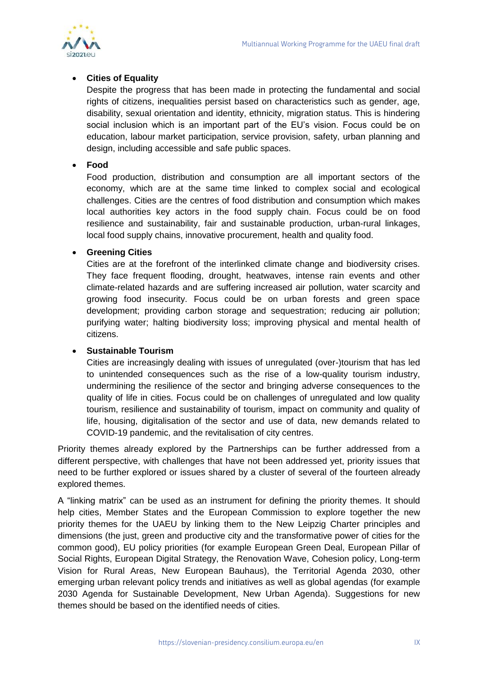

## **Cities of Equality**

Despite the progress that has been made in protecting the fundamental and social rights of citizens, inequalities persist based on characteristics such as gender, age, disability, sexual orientation and identity, ethnicity, migration status. This is hindering social inclusion which is an important part of the EU's vision. Focus could be on education, labour market participation, service provision, safety, urban planning and design, including accessible and safe public spaces.

### **Food**

Food production, distribution and consumption are all important sectors of the economy, which are at the same time linked to complex social and ecological challenges. Cities are the centres of food distribution and consumption which makes local authorities key actors in the food supply chain. Focus could be on food resilience and sustainability, fair and sustainable production, urban-rural linkages, local food supply chains, innovative procurement, health and quality food.

## **Greening Cities**

Cities are at the forefront of the interlinked climate change and biodiversity crises. They face frequent flooding, drought, heatwaves, intense rain events and other climate-related hazards and are suffering increased air pollution, water scarcity and growing food insecurity. Focus could be on urban forests and green space development; providing carbon storage and sequestration; reducing air pollution; purifying water; halting biodiversity loss; improving physical and mental health of citizens.

## **Sustainable Tourism**

Cities are increasingly dealing with issues of unregulated (over-)tourism that has led to unintended consequences such as the rise of a low-quality tourism industry, undermining the resilience of the sector and bringing adverse consequences to the quality of life in cities. Focus could be on challenges of unregulated and low quality tourism, resilience and sustainability of tourism, impact on community and quality of life, housing, digitalisation of the sector and use of data, new demands related to COVID-19 pandemic, and the revitalisation of city centres.

Priority themes already explored by the Partnerships can be further addressed from a different perspective, with challenges that have not been addressed yet, priority issues that need to be further explored or issues shared by a cluster of several of the fourteen already explored themes.

A "linking matrix" can be used as an instrument for defining the priority themes. It should help cities, Member States and the European Commission to explore together the new priority themes for the UAEU by linking them to the New Leipzig Charter principles and dimensions (the just, green and productive city and the transformative power of cities for the common good), EU policy priorities (for example European Green Deal, European Pillar of Social Rights, European Digital Strategy, the Renovation Wave, Cohesion policy, Long-term Vision for Rural Areas, New European Bauhaus), the Territorial Agenda 2030, other emerging urban relevant policy trends and initiatives as well as global agendas (for example 2030 Agenda for Sustainable Development, New Urban Agenda). Suggestions for new themes should be based on the identified needs of cities.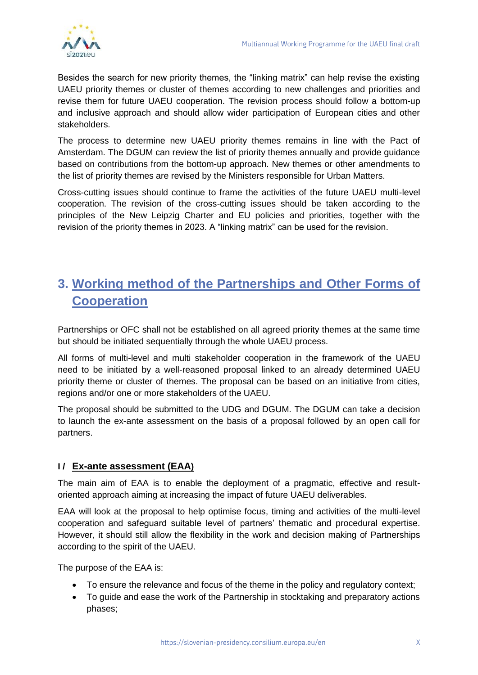

Besides the search for new priority themes, the "linking matrix" can help revise the existing UAEU priority themes or cluster of themes according to new challenges and priorities and revise them for future UAEU cooperation. The revision process should follow a bottom-up and inclusive approach and should allow wider participation of European cities and other stakeholders.

The process to determine new UAEU priority themes remains in line with the Pact of Amsterdam. The DGUM can review the list of priority themes annually and provide guidance based on contributions from the bottom-up approach. New themes or other amendments to the list of priority themes are revised by the Ministers responsible for Urban Matters.

Cross-cutting issues should continue to frame the activities of the future UAEU multi-level cooperation. The revision of the cross-cutting issues should be taken according to the principles of the New Leipzig Charter and EU policies and priorities, together with the revision of the priority themes in 2023. A "linking matrix" can be used for the revision.

# **3. Working method of the Partnerships and Other Forms of Cooperation**

Partnerships or OFC shall not be established on all agreed priority themes at the same time but should be initiated sequentially through the whole UAEU process.

All forms of multi-level and multi stakeholder cooperation in the framework of the UAEU need to be initiated by a well-reasoned proposal linked to an already determined UAEU priority theme or cluster of themes. The proposal can be based on an initiative from cities, regions and/or one or more stakeholders of the UAEU.

The proposal should be submitted to the UDG and DGUM. The DGUM can take a decision to launch the ex-ante assessment on the basis of a proposal followed by an open call for partners.

## **I / Ex-ante assessment (EAA)**

The main aim of EAA is to enable the deployment of a pragmatic, effective and resultoriented approach aiming at increasing the impact of future UAEU deliverables.

EAA will look at the proposal to help optimise focus, timing and activities of the multi-level cooperation and safeguard suitable level of partners' thematic and procedural expertise. However, it should still allow the flexibility in the work and decision making of Partnerships according to the spirit of the UAEU.

The purpose of the EAA is:

- To ensure the relevance and focus of the theme in the policy and regulatory context;
- To guide and ease the work of the Partnership in stocktaking and preparatory actions phases;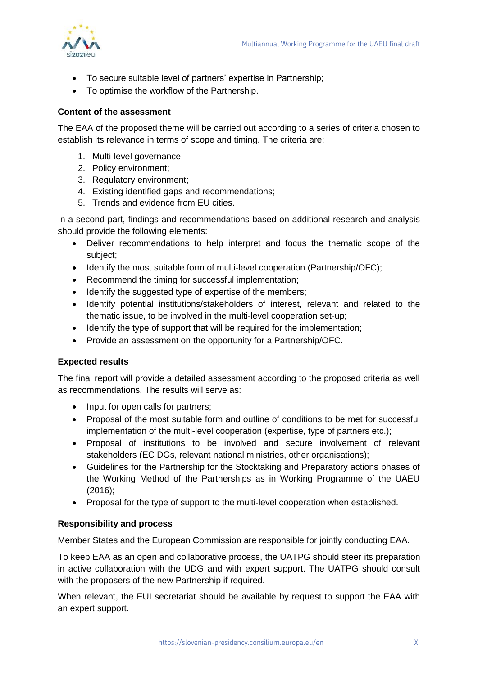

- To secure suitable level of partners' expertise in Partnership;
- To optimise the workflow of the Partnership.

#### **Content of the assessment**

The EAA of the proposed theme will be carried out according to a series of criteria chosen to establish its relevance in terms of scope and timing. The criteria are:

- 1. Multi-level governance;
- 2. Policy environment;
- 3. Regulatory environment;
- 4. Existing identified gaps and recommendations;
- 5. Trends and evidence from EU cities.

In a second part, findings and recommendations based on additional research and analysis should provide the following elements:

- Deliver recommendations to help interpret and focus the thematic scope of the subject;
- Identify the most suitable form of multi-level cooperation (Partnership/OFC);
- Recommend the timing for successful implementation;
- Identify the suggested type of expertise of the members;
- Identify potential institutions/stakeholders of interest, relevant and related to the thematic issue, to be involved in the multi-level cooperation set-up;
- Identify the type of support that will be required for the implementation;
- Provide an assessment on the opportunity for a Partnership/OFC.

#### **Expected results**

The final report will provide a detailed assessment according to the proposed criteria as well as recommendations. The results will serve as:

- Input for open calls for partners;
- Proposal of the most suitable form and outline of conditions to be met for successful implementation of the multi-level cooperation (expertise, type of partners etc.);
- Proposal of institutions to be involved and secure involvement of relevant stakeholders (EC DGs, relevant national ministries, other organisations);
- Guidelines for the Partnership for the Stocktaking and Preparatory actions phases of the Working Method of the Partnerships as in Working Programme of the UAEU (2016);
- Proposal for the type of support to the multi-level cooperation when established.

#### **Responsibility and process**

Member States and the European Commission are responsible for jointly conducting EAA.

To keep EAA as an open and collaborative process, the UATPG should steer its preparation in active collaboration with the UDG and with expert support. The UATPG should consult with the proposers of the new Partnership if required.

When relevant, the EUI secretariat should be available by request to support the EAA with an expert support.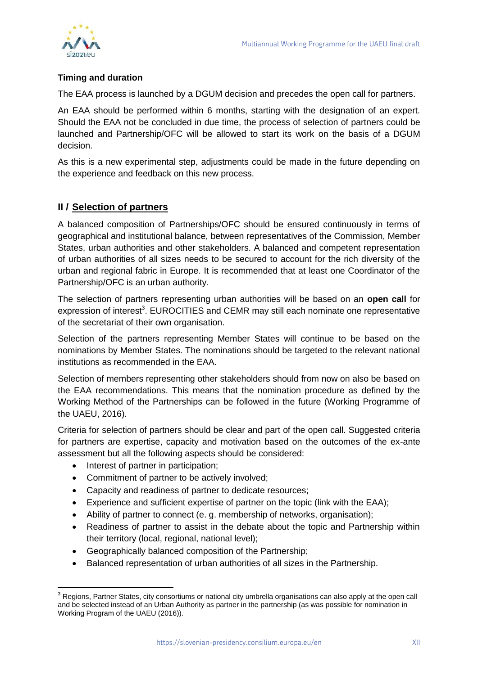

## **Timing and duration**

The EAA process is launched by a DGUM decision and precedes the open call for partners.

An EAA should be performed within 6 months, starting with the designation of an expert. Should the EAA not be concluded in due time, the process of selection of partners could be launched and Partnership/OFC will be allowed to start its work on the basis of a DGUM decision.

As this is a new experimental step, adjustments could be made in the future depending on the experience and feedback on this new process.

## **II / Selection of partners**

A balanced composition of Partnerships/OFC should be ensured continuously in terms of geographical and institutional balance, between representatives of the Commission, Member States, urban authorities and other stakeholders. A balanced and competent representation of urban authorities of all sizes needs to be secured to account for the rich diversity of the urban and regional fabric in Europe. It is recommended that at least one Coordinator of the Partnership/OFC is an urban authority.

The selection of partners representing urban authorities will be based on an **open call** for expression of interest<sup>3</sup>. EUROCITIES and CEMR may still each nominate one representative of the secretariat of their own organisation.

Selection of the partners representing Member States will continue to be based on the nominations by Member States. The nominations should be targeted to the relevant national institutions as recommended in the EAA.

Selection of members representing other stakeholders should from now on also be based on the EAA recommendations. This means that the nomination procedure as defined by the Working Method of the Partnerships can be followed in the future (Working Programme of the UAEU, 2016).

Criteria for selection of partners should be clear and part of the open call. Suggested criteria for partners are expertise, capacity and motivation based on the outcomes of the ex-ante assessment but all the following aspects should be considered:

- Interest of partner in participation;
- Commitment of partner to be actively involved;
- Capacity and readiness of partner to dedicate resources;
- Experience and sufficient expertise of partner on the topic (link with the EAA);
- Ability of partner to connect (e. g. membership of networks, organisation);
- Readiness of partner to assist in the debate about the topic and Partnership within their territory (local, regional, national level);
- Geographically balanced composition of the Partnership;
- Balanced representation of urban authorities of all sizes in the Partnership.

<sup>-</sup> $3$  Regions, Partner States, city consortiums or national city umbrella organisations can also apply at the open call and be selected instead of an Urban Authority as partner in the partnership (as was possible for nomination in Working Program of the UAEU (2016)).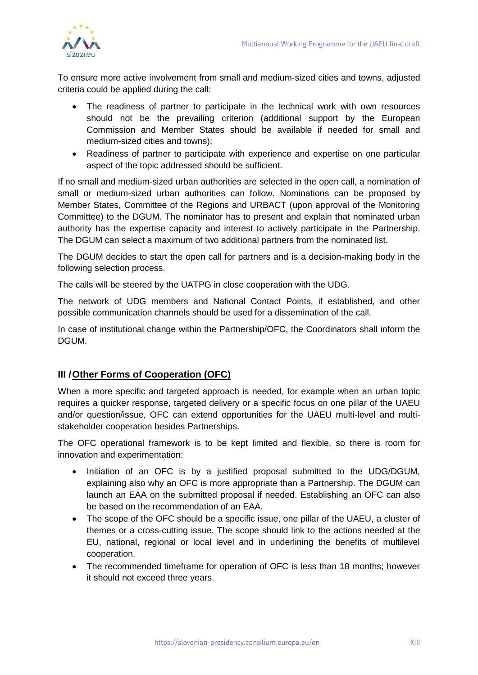

To ensure more active involvement from small and medium-sized cities and towns, adjusted criteria could be applied during the call:

- The readiness of partner to participate in the technical work with own resources should not be the prevailing criterion (additional support by the European Commission and Member States should be available if needed for small and medium-sized cities and towns);
- Readiness of partner to participate with experience and expertise on one particular aspect of the topic addressed should be sufficient.

If no small and medium-sized urban authorities are selected in the open call, a nomination of small or medium-sized urban authorities can follow. Nominations can be proposed by Member States, Committee of the Regions and URBACT (upon approval of the Monitoring Committee) to the DGUM. The nominator has to present and explain that nominated urban authority has the expertise capacity and interest to actively participate in the Partnership. The DGUM can select a maximum of two additional partners from the nominated list.

The DGUM decides to start the open call for partners and is a decision-making body in the following selection process.

The calls will be steered by the UATPG in close cooperation with the UDG.

The network of UDG members and National Contact Points, if established, and other possible communication channels should be used for a dissemination of the call.

In case of institutional change within the Partnership/OFC, the Coordinators shall inform the DGUM.

## **III /Other Forms of Cooperation (OFC)**

When a more specific and targeted approach is needed, for example when an urban topic requires a quicker response, targeted delivery or a specific focus on one pillar of the UAEU and/or question/issue, OFC can extend opportunities for the UAEU multi-level and multistakeholder cooperation besides Partnerships.

The OFC operational framework is to be kept limited and flexible, so there is room for innovation and experimentation:

- Initiation of an OFC is by a justified proposal submitted to the UDG/DGUM, explaining also why an OFC is more appropriate than a Partnership. The DGUM can launch an EAA on the submitted proposal if needed. Establishing an OFC can also be based on the recommendation of an EAA.
- The scope of the OFC should be a specific issue, one pillar of the UAEU, a cluster of themes or a cross-cutting issue. The scope should link to the actions needed at the EU, national, regional or local level and in underlining the benefits of multilevel cooperation.
- The recommended timeframe for operation of OFC is less than 18 months; however it should not exceed three years.